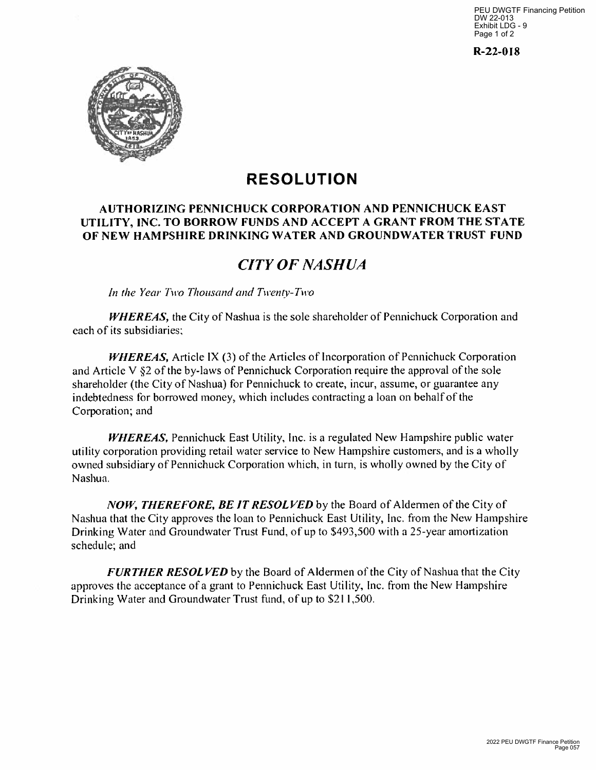PEU DWGTF Financing Petition DW 22-013 Exhibit LDG - 9 Page 1 of 2

**R-22-0I8** 



# **RESOLUTION**

#### **AUTHORIZING PENNICHUCK CORPORATION AND PENNICHUCK EAST UTILITY, INC. TO BORROW FUNDS AND ACCEPT A GRANT FROM THE STATE OF NEW HAMPSHIRE DRINKING WATER AND GROUNDWATER TRUST FUND**

### *CITY OF NASHUA*

*In the Year Two Thousand and Twenty-Two* 

*WHEREAS*, the City of Nashua is the sole shareholder of Pennichuck Corporation and each of its subsidiaries;

*WHEREAS,* Article IX (3) of the Articles of Incorporation of Pennichuck Corporation and Article V §2 of the by-laws of Pennichuck Corporation require the approval of the sole shareholder (the City of Nashua) for Pennichuck to create, incur, assume, or guarantee any indebtedness for borrowed money, which includes contracting a loan on behalf of the Corporation; and

*WHEREAS,* Pennichuck East Utility, Inc. is a regulated New Hampshire public water utility corporation providing retail water service to New Hampshire customers, and is a wholly owned subsidiary of Pennichuck Corporation which, in turn, is wholly owned by the City of Nashua.

*¡VOW, THEREFORE, BE IT RESOLVED* by the Board of Aldermen of the City of Nashua that the City approves the loan to Pennichuck East Utility, Inc. from the New Hampshire Drinking Water and Groundwater Trust Fund, of up to \$493,500 with a 25-year amortization schedule; and

*FURTHER RESOLVED* by the Board of Aldermen of the City of Nashua that the City approves the acceptance of a grant to Pennichuck East Utility, Inc. from the New Hampshire Drinking Water and Groundwater Trust fund, of up to \$21 1,500.